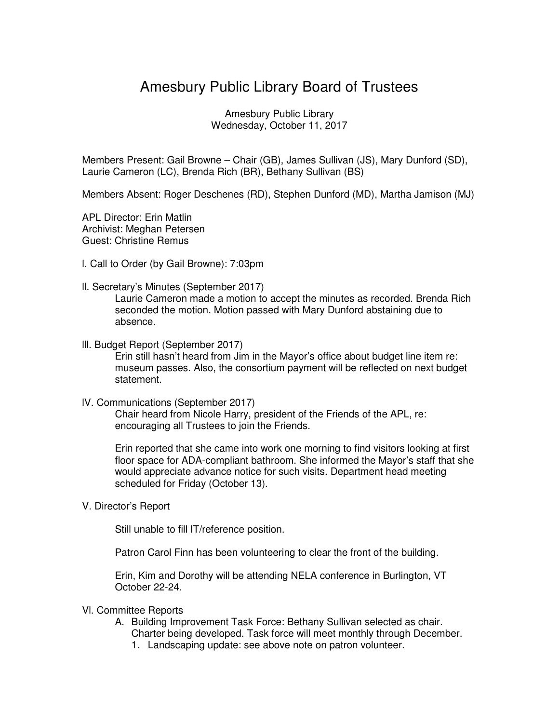## Amesbury Public Library Board of Trustees

Amesbury Public Library Wednesday, October 11, 2017

Members Present: Gail Browne – Chair (GB), James Sullivan (JS), Mary Dunford (SD), Laurie Cameron (LC), Brenda Rich (BR), Bethany Sullivan (BS)

Members Absent: Roger Deschenes (RD), Stephen Dunford (MD), Martha Jamison (MJ)

APL Director: Erin Matlin Archivist: Meghan Petersen Guest: Christine Remus

- l. Call to Order (by Gail Browne): 7:03pm
- ll. Secretary's Minutes (September 2017)

Laurie Cameron made a motion to accept the minutes as recorded. Brenda Rich seconded the motion. Motion passed with Mary Dunford abstaining due to absence.

lll. Budget Report (September 2017)

Erin still hasn't heard from Jim in the Mayor's office about budget line item re: museum passes. Also, the consortium payment will be reflected on next budget statement.

lV. Communications (September 2017)

Chair heard from Nicole Harry, president of the Friends of the APL, re: encouraging all Trustees to join the Friends.

Erin reported that she came into work one morning to find visitors looking at first floor space for ADA-compliant bathroom. She informed the Mayor's staff that she would appreciate advance notice for such visits. Department head meeting scheduled for Friday (October 13).

V. Director's Report

Still unable to fill IT/reference position.

Patron Carol Finn has been volunteering to clear the front of the building.

Erin, Kim and Dorothy will be attending NELA conference in Burlington, VT October 22-24.

- Vl. Committee Reports
	- A. Building Improvement Task Force: Bethany Sullivan selected as chair. Charter being developed. Task force will meet monthly through December.
		- 1. Landscaping update: see above note on patron volunteer.